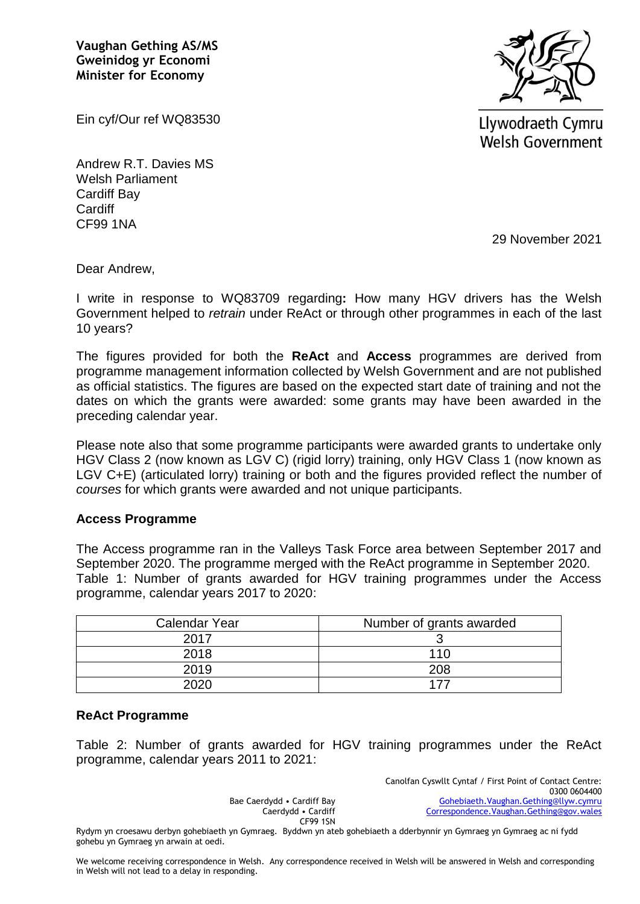**Vaughan Gething AS/MS Gweinidog yr Economi Minister for Economy**



Ein cyf/Our ref WQ83530

Andrew R.T. Davies MS Welsh Parliament Cardiff Bay **Cardiff** CF99 1NA

Llywodraeth Cymru **Welsh Government** 

29 November 2021

Dear Andrew,

I write in response to WQ83709 regarding**:** How many HGV drivers has the Welsh Government helped to *retrain* under ReAct or through other programmes in each of the last 10 years?

The figures provided for both the **ReAct** and **Access** programmes are derived from programme management information collected by Welsh Government and are not published as official statistics. The figures are based on the expected start date of training and not the dates on which the grants were awarded: some grants may have been awarded in the preceding calendar year.

Please note also that some programme participants were awarded grants to undertake only HGV Class 2 (now known as LGV C) (rigid lorry) training, only HGV Class 1 (now known as LGV C+E) (articulated lorry) training or both and the figures provided reflect the number of *courses* for which grants were awarded and not unique participants.

### **Access Programme**

The Access programme ran in the Valleys Task Force area between September 2017 and September 2020. The programme merged with the ReAct programme in September 2020. Table 1: Number of grants awarded for HGV training programmes under the Access programme, calendar years 2017 to 2020:

| Calendar Year | Number of grants awarded |  |  |
|---------------|--------------------------|--|--|
| 2017          |                          |  |  |
| 2018          | 110                      |  |  |
| 2019          | 208                      |  |  |
| ∩מ∩פ          |                          |  |  |

### **ReAct Programme**

Table 2: Number of grants awarded for HGV training programmes under the ReAct programme, calendar years 2011 to 2021:

> Bae Caerdydd • Cardiff Bay Caerdydd • Cardiff CF99 1SN

Canolfan Cyswllt Cyntaf / First Point of Contact Centre: 0300 0604400 [Gohebiaeth.Vaughan.Gething@llyw.cymru](mailto:Gohebiaeth.Vaughan.Gething@llyw.cymru) [Correspondence.Vaughan.Gething@gov.wales](mailto:Correspondence.Vaughan.Gething@gov.wales)

Rydym yn croesawu derbyn gohebiaeth yn Gymraeg. Byddwn yn ateb gohebiaeth a dderbynnir yn Gymraeg yn Gymraeg ac ni fydd gohebu yn Gymraeg yn arwain at oedi.

We welcome receiving correspondence in Welsh. Any correspondence received in Welsh will be answered in Welsh and corresponding in Welsh will not lead to a delay in responding.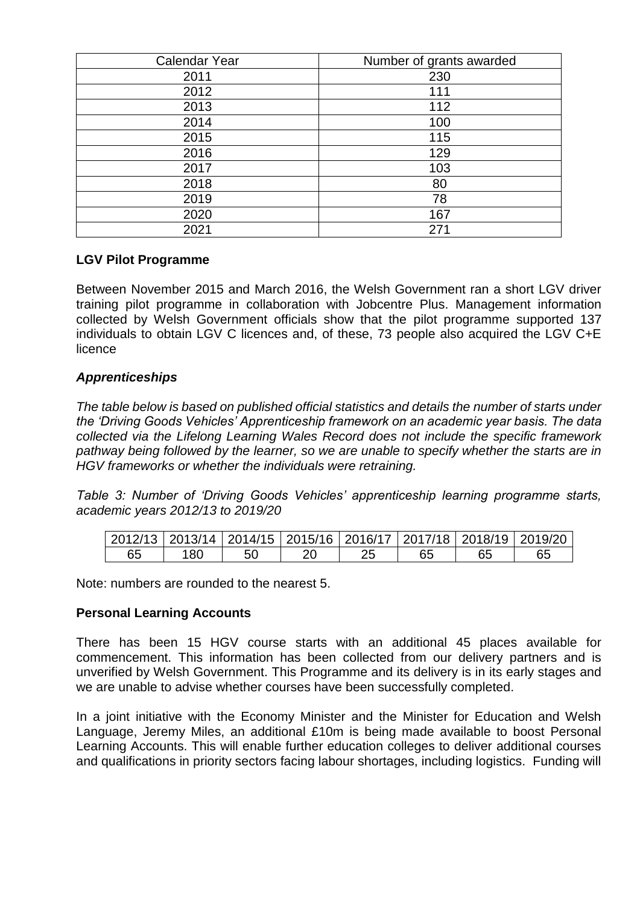| <b>Calendar Year</b> | Number of grants awarded |  |  |  |
|----------------------|--------------------------|--|--|--|
| 2011                 | 230                      |  |  |  |
| 2012                 | 111                      |  |  |  |
| 2013                 | 112                      |  |  |  |
| 2014                 | 100                      |  |  |  |
| 2015                 | 115                      |  |  |  |
| 2016                 | 129                      |  |  |  |
| 2017                 | 103                      |  |  |  |
| 2018                 | 80                       |  |  |  |
| 2019                 | 78                       |  |  |  |
| 2020                 | 167                      |  |  |  |
| 2021                 | 271                      |  |  |  |

# **LGV Pilot Programme**

Between November 2015 and March 2016, the Welsh Government ran a short LGV driver training pilot programme in collaboration with Jobcentre Plus. Management information collected by Welsh Government officials show that the pilot programme supported 137 individuals to obtain LGV C licences and, of these, 73 people also acquired the LGV C+E licence

# *Apprenticeships*

*The table below is based on published official statistics and details the number of starts under the 'Driving Goods Vehicles' Apprenticeship framework on an academic year basis. The data collected via the Lifelong Learning Wales Record does not include the specific framework pathway being followed by the learner, so we are unable to specify whether the starts are in HGV frameworks or whether the individuals were retraining.*

*Table 3: Number of 'Driving Goods Vehicles' apprenticeship learning programme starts, academic years 2012/13 to 2019/20*

|    |      |  | 2012/13   2013/14   2014/15   2015/16   2016/17   2017/18   2018/19   2019/20 |    |    |
|----|------|--|-------------------------------------------------------------------------------|----|----|
| 65 | . 80 |  |                                                                               | 65 | 65 |

Note: numbers are rounded to the nearest 5.

## **Personal Learning Accounts**

There has been 15 HGV course starts with an additional 45 places available for commencement. This information has been collected from our delivery partners and is unverified by Welsh Government. This Programme and its delivery is in its early stages and we are unable to advise whether courses have been successfully completed.

In a joint initiative with the Economy Minister and the Minister for Education and Welsh Language, Jeremy Miles, an additional £10m is being made available to boost Personal Learning Accounts. This will enable further education colleges to deliver additional courses and qualifications in priority sectors facing labour shortages, including logistics. Funding will